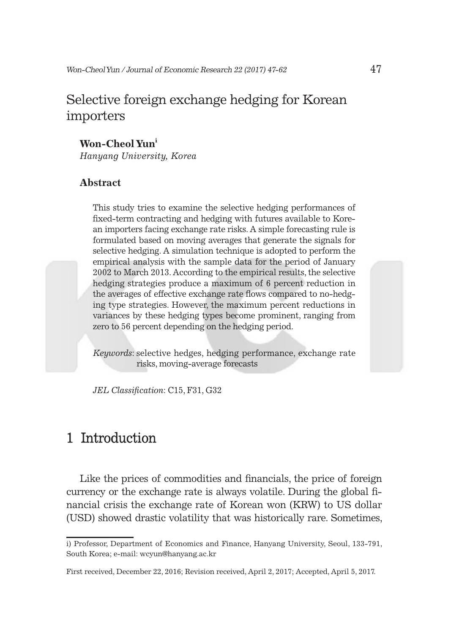## Selective foreign exchange hedging for Korean importers

#### **Won-Cheol Yun<sup>i</sup>**

*Hanyang University, Korea*

#### **Abstract**

This study tries to examine the selective hedging performances of fixed-term contracting and hedging with futures available to Korean importers facing exchange rate risks. A simple forecasting rule is formulated based on moving averages that generate the signals for selective hedging. A simulation technique is adopted to perform the empirical analysis with the sample data for the period of January 2002 to March 2013. According to the empirical results, the selective hedging strategies produce a maximum of 6 percent reduction in the averages of effective exchange rate flows compared to no-hedging type strategies. However, the maximum percent reductions in variances by these hedging types become prominent, ranging from zero to 56 percent depending on the hedging period.

*Keywords*: selective hedges, hedging performance, exchange rate risks, moving-average forecasts

*JEL Classification*: C15, F31, G32

### 1 Introduction

Like the prices of commodities and financials, the price of foreign currency or the exchange rate is always volatile. During the global financial crisis the exchange rate of Korean won (KRW) to US dollar (USD) showed drastic volatility that was historically rare. Sometimes,

i) Professor, Department of Economics and Finance, Hanyang University, Seoul, 133-791, South Korea; e-mail: wcyun@hanyang.ac.kr

First received, December 22, 2016; Revision received, April 2, 2017; Accepted, April 5, 2017.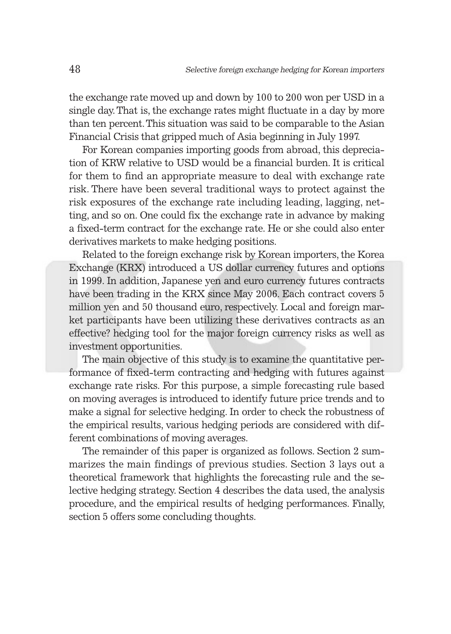the exchange rate moved up and down by 100 to 200 won per USD in a single day. That is, the exchange rates might fluctuate in a day by more than ten percent. This situation was said to be comparable to the Asian Financial Crisis that gripped much of Asia beginning in July 1997.

For Korean companies importing goods from abroad, this depreciation of KRW relative to USD would be a financial burden. It is critical for them to find an appropriate measure to deal with exchange rate risk. There have been several traditional ways to protect against the risk exposures of the exchange rate including leading, lagging, netting, and so on. One could fix the exchange rate in advance by making a fixed-term contract for the exchange rate. He or she could also enter derivatives markets to make hedging positions.

Related to the foreign exchange risk by Korean importers, the Korea Exchange (KRX) introduced a US dollar currency futures and options in 1999. In addition, Japanese yen and euro currency futures contracts have been trading in the KRX since May 2006. Each contract covers 5 million yen and 50 thousand euro, respectively. Local and foreign market participants have been utilizing these derivatives contracts as an effective? hedging tool for the major foreign currency risks as well as investment opportunities.

The main objective of this study is to examine the quantitative performance of fixed-term contracting and hedging with futures against exchange rate risks. For this purpose, a simple forecasting rule based on moving averages is introduced to identify future price trends and to make a signal for selective hedging. In order to check the robustness of the empirical results, various hedging periods are considered with different combinations of moving averages.

The remainder of this paper is organized as follows. Section 2 summarizes the main findings of previous studies. Section 3 lays out a theoretical framework that highlights the forecasting rule and the selective hedging strategy. Section 4 describes the data used, the analysis procedure, and the empirical results of hedging performances. Finally, section 5 offers some concluding thoughts.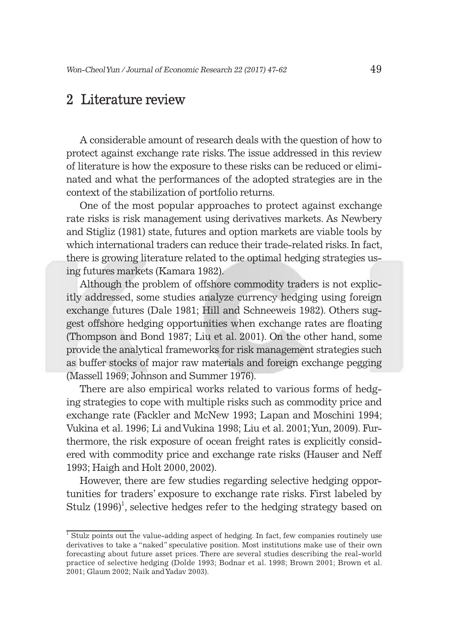### 2 Literature review

A considerable amount of research deals with the question of how to protect against exchange rate risks. The issue addressed in this review of literature is how the exposure to these risks can be reduced or eliminated and what the performances of the adopted strategies are in the context of the stabilization of portfolio returns.

One of the most popular approaches to protect against exchange rate risks is risk management using derivatives markets. As Newbery and Stigliz (1981) state, futures and option markets are viable tools by which international traders can reduce their trade-related risks. In fact, there is growing literature related to the optimal hedging strategies using futures markets (Kamara 1982).

Although the problem of offshore commodity traders is not explicitly addressed, some studies analyze currency hedging using foreign exchange futures (Dale 1981; Hill and Schneeweis 1982). Others suggest offshore hedging opportunities when exchange rates are floating (Thompson and Bond 1987; Liu et al. 2001). On the other hand, some provide the analytical frameworks for risk management strategies such as buffer stocks of major raw materials and foreign exchange pegging (Massell 1969; Johnson and Summer 1976).

There are also empirical works related to various forms of hedging strategies to cope with multiple risks such as commodity price and exchange rate (Fackler and McNew 1993; Lapan and Moschini 1994; Vukina et al. 1996; Li and Vukina 1998; Liu et al. 2001; Yun, 2009). Furthermore, the risk exposure of ocean freight rates is explicitly considered with commodity price and exchange rate risks (Hauser and Neff 1993; Haigh and Holt 2000, 2002).

However, there are few studies regarding selective hedging opportunities for traders' exposure to exchange rate risks. First labeled by Stulz  $(1996)^1$ , selective hedges refer to the hedging strategy based on

<sup>&</sup>lt;sup>1</sup> Stulz points out the value-adding aspect of hedging. In fact, few companies routinely use derivatives to take a "naked" speculative position. Most institutions make use of their own forecasting about future asset prices. There are several studies describing the real-world practice of selective hedging (Dolde 1993; Bodnar et al. 1998; Brown 2001; Brown et al. 2001; Glaum 2002; Naik and Yadav 2003).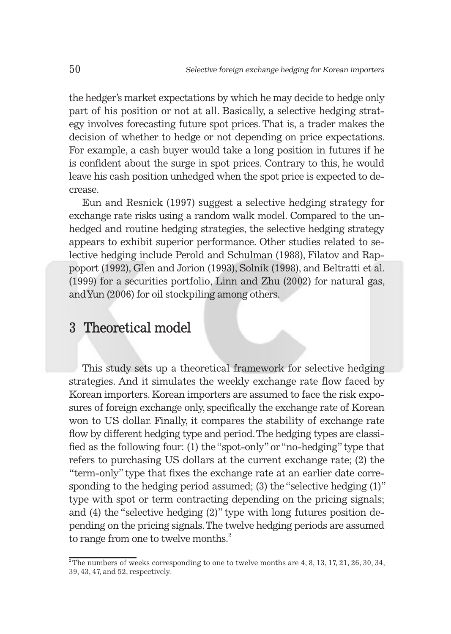the hedger's market expectations by which he may decide to hedge only part of his position or not at all. Basically, a selective hedging strategy involves forecasting future spot prices. That is, a trader makes the decision of whether to hedge or not depending on price expectations. For example, a cash buyer would take a long position in futures if he is confident about the surge in spot prices. Contrary to this, he would leave his cash position unhedged when the spot price is expected to decrease.

Eun and Resnick (1997) suggest a selective hedging strategy for exchange rate risks using a random walk model. Compared to the unhedged and routine hedging strategies, the selective hedging strategy appears to exhibit superior performance. Other studies related to selective hedging include Perold and Schulman (1988), Filatov and Rappoport (1992), Glen and Jorion (1993), Solnik (1998), and Beltratti et al. (1999) for a securities portfolio, Linn and Zhu (2002) for natural gas, and Yun (2006) for oil stockpiling among others.

### 3 Theoretical model

This study sets up a theoretical framework for selective hedging strategies. And it simulates the weekly exchange rate flow faced by Korean importers. Korean importers are assumed to face the risk exposures of foreign exchange only, specifically the exchange rate of Korean won to US dollar. Finally, it compares the stability of exchange rate flow by different hedging type and period. The hedging types are classified as the following four: (1) the "spot-only" or "no-hedging" type that refers to purchasing US dollars at the current exchange rate; (2) the "term-only" type that fixes the exchange rate at an earlier date corresponding to the hedging period assumed; (3) the "selective hedging (1)" type with spot or term contracting depending on the pricing signals; and (4) the "selective hedging (2)" type with long futures position depending on the pricing signals. The twelve hedging periods are assumed to range from one to twelve months.<sup>2</sup>

 $^2$ The numbers of weeks corresponding to one to twelve months are 4, 8, 13, 17, 21, 26, 30, 34, 39, 43, 47, and 52, respectively.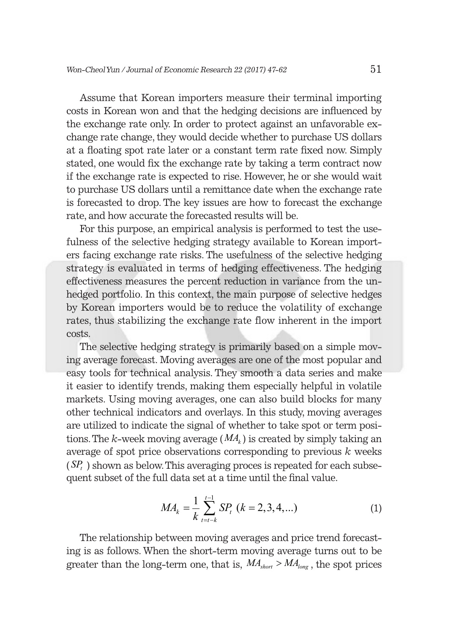Assume that Korean importers measure their terminal importing costs in Korean won and that the hedging decisions are influenced by the exchange rate only. In order to protect against an unfavorable exchange rate change, they would decide whether to purchase US dollars at a floating spot rate later or a constant term rate fixed now. Simply stated, one would fix the exchange rate by taking a term contract now if the exchange rate is expected to rise. However, he or she would wait to purchase US dollars until a remittance date when the exchange rate is forecasted to drop. The key issues are how to forecast the exchange rate, and how accurate the forecasted results will be.

For this purpose, an empirical analysis is performed to test the usefulness of the selective hedging strategy available to Korean importers facing exchange rate risks. The usefulness of the selective hedging strategy is evaluated in terms of hedging effectiveness. The hedging effectiveness measures the percent reduction in variance from the unhedged portfolio. In this context, the main purpose of selective hedges by Korean importers would be to reduce the volatility of exchange rates, thus stabilizing the exchange rate flow inherent in the import costs.

The selective hedging strategy is primarily based on a simple moving average forecast. Moving averages are one of the most popular and easy tools for technical analysis. They smooth a data series and make it easier to identify trends, making them especially helpful in volatile markets. Using moving averages, one can also build blocks for many other technical indicators and overlays. In this study, moving averages are utilized to indicate the signal of whether to take spot or term positions. The *k*-week moving average  $(MA<sub>k</sub>)$  is created by simply taking an average of spot price observations corresponding to previous *k* weeks  $(SP_t)$  shown as below. This averaging proces is repeated for each subsequent subset of the full data set at a time until the final value.

$$
MA_k = \frac{1}{k} \sum_{t=t-k}^{t-1} SP_t \ (k = 2, 3, 4, \ldots) \tag{1}
$$

The relationship between moving averages and price trend forecasting is as follows. When the short-term moving average turns out to be greater than the long-term one, that is,  $M A_{\text{short}} > M A_{\text{long}}$ , the spot prices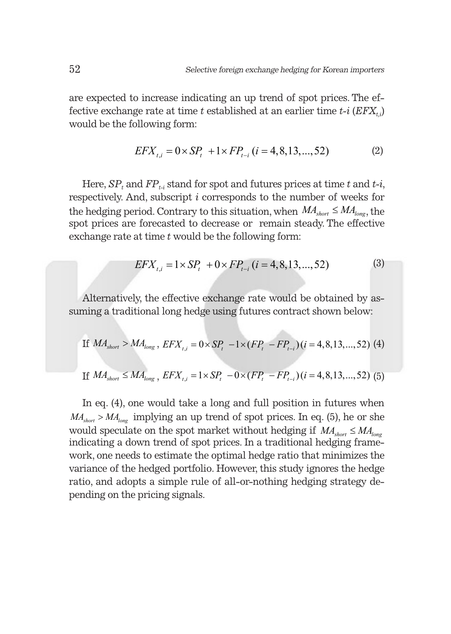are expected to increase indicating an up trend of spot prices. The effective exchange rate at time *t* established at an earlier time  $t-i$  ( $EFX_{t,i}$ ) would be the following form:

$$
EFX_{t,i} = 0 \times SP_t + 1 \times FP_{t-i} \ (i = 4, 8, 13, ..., 52)
$$
 (2)

Here,  $SP_t$  and  $FP_{t,i}$  stand for spot and futures prices at time t and  $t-i$ , respectively. And, subscript *i* corresponds to the number of weeks for the hedging period. Contrary to this situation, when  $MA_{short} \leq MA_{long}$ , the spot prices are forecasted to decrease or remain steady. The effective exchange rate at time *t* would be the following form:

$$
EFX_{t,i} = 1 \times SP_t + 0 \times FP_{t-i} \ (i = 4, 8, 13, ..., 52)
$$
 (3)

Alternatively, the effective exchange rate would be obtained by assuming a traditional long hedge using futures contract shown below:

If 
$$
MA_{short} > MA_{long}
$$
,  $EFX_{t,i} = 0 \times SP_t - 1 \times (FP_t - FP_{t-i})(i = 4, 8, 13, ..., 52)$  (4)

If 
$$
MA_{short} \le MA_{long}
$$
,  $EFX_{t,i} = 1 \times SP_t - 0 \times (FP_t - FP_{t-i})(i = 4, 8, 13, ..., 52)$  (5)

In eq. (4), one would take a long and full position in futures when  $MA<sub>short</sub> > MA<sub>long</sub>$  implying an up trend of spot prices. In eq. (5), he or she would speculate on the spot market without hedging if  $MA_{short} \leq MA_{long}$ indicating a down trend of spot prices. In a traditional hedging framework, one needs to estimate the optimal hedge ratio that minimizes the variance of the hedged portfolio. However, this study ignores the hedge ratio, and adopts a simple rule of all-or-nothing hedging strategy depending on the pricing signals.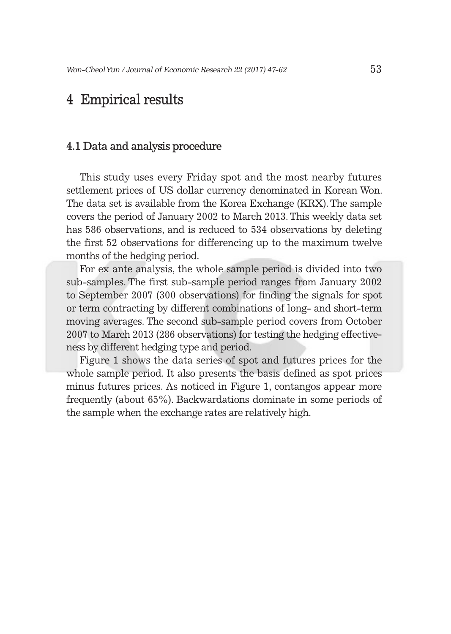### 4 Empirical results

#### 4.1 Data and analysis procedure

This study uses every Friday spot and the most nearby futures settlement prices of US dollar currency denominated in Korean Won. The data set is available from the Korea Exchange (KRX). The sample covers the period of January 2002 to March 2013. This weekly data set has 586 observations, and is reduced to 534 observations by deleting the first 52 observations for differencing up to the maximum twelve months of the hedging period.

For ex ante analysis, the whole sample period is divided into two sub-samples. The first sub-sample period ranges from January 2002 to September 2007 (300 observations) for finding the signals for spot or term contracting by different combinations of long- and short-term moving averages. The second sub-sample period covers from October 2007 to March 2013 (286 observations) for testing the hedging effectiveness by different hedging type and period.

Figure 1 shows the data series of spot and futures prices for the whole sample period. It also presents the basis defined as spot prices minus futures prices. As noticed in Figure 1, contangos appear more frequently (about 65%). Backwardations dominate in some periods of the sample when the exchange rates are relatively high.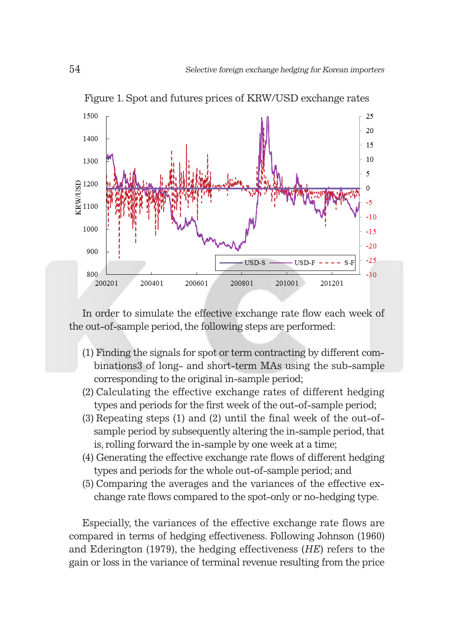

Figure 1. Spot and futures prices of KRW/USD exchange rates

In order to simulate the effective exchange rate flow each week of the out-of-sample period, the following steps are performed:

- (1) Finding the signals for spot or term contracting by different combinations3 of long- and short-term MAs using the sub-sample corresponding to the original in-sample period;
- (2) Calculating the effective exchange rates of different hedging types and periods for the first week of the out-of-sample period;
- (3) Repeating steps (1) and (2) until the final week of the out-ofsample period by subsequently altering the in-sample period, that is, rolling forward the in-sample by one week at a time;
- (4) Generating the effective exchange rate flows of different hedging types and periods for the whole out-of-sample period; and
- (5) Comparing the averages and the variances of the effective exchange rate flows compared to the spot-only or no-hedging type.

Especially, the variances of the effective exchange rate flows are compared in terms of hedging effectiveness. Following Johnson (1960) and Ederington (1979), the hedging effectiveness (*HE*) refers to the gain or loss in the variance of terminal revenue resulting from the price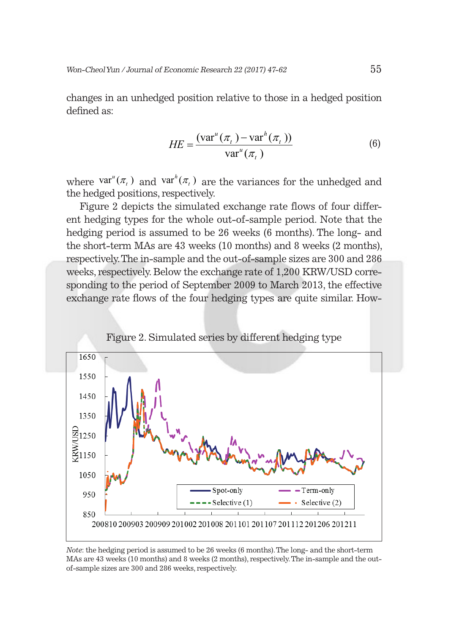changes in an unhedged position relative to those in a hedged position defined as:

$$
HE = \frac{(\text{var}^u(\pi_t) - \text{var}^h(\pi_t))}{\text{var}^u(\pi_t)}
$$
(6)

where  $var''(\pi_t)$  and  $var''(\pi_t)$  are the variances for the unhedged and the hedged positions, respectively.

Figure 2 depicts the simulated exchange rate flows of four different hedging types for the whole out-of-sample period. Note that the hedging period is assumed to be 26 weeks (6 months). The long- and the short-term MAs are 43 weeks (10 months) and 8 weeks (2 months), respectively. The in-sample and the out-of-sample sizes are 300 and 286 weeks, respectively. Below the exchange rate of 1,200 KRW/USD corresponding to the period of September 2009 to March 2013, the effective exchange rate flows of the four hedging types are quite similar. How-





*Note*: the hedging period is assumed to be 26 weeks (6 months). The long- and the short-term MAs are 43 weeks (10 months) and 8 weeks (2 months), respectively. The in-sample and the outof-sample sizes are 300 and 286 weeks, respectively.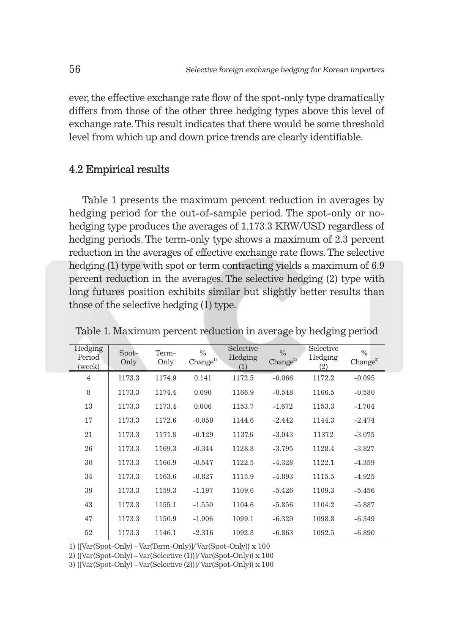ever, the effective exchange rate flow of the spot-only type dramatically differs from those of the other three hedging types above this level of exchange rate. This result indicates that there would be some threshold level from which up and down price trends are clearly identifiable.

#### 4.2 Empirical results

Table 1 presents the maximum percent reduction in averages by hedging period for the out-of-sample period. The spot-only or nohedging type produces the averages of 1,173.3 KRW/USD regardless of hedging periods. The term-only type shows a maximum of 2.3 percent reduction in the averages of effective exchange rate flows. The selective hedging (1) type with spot or term contracting yields a maximum of 6.9 percent reduction in the averages. The selective hedging (2) type with long futures position exhibits similar but slightly better results than those of the selective hedging (1) type.

| Hedging<br>Period<br>(week) | Spot-<br>Only | Term-<br>Only | $\%$<br>Change <sup>1</sup> | Selective<br>Hedging<br>(1) | $\frac{0}{0}$<br>Change <sup>2</sup> | Selective<br>Hedging<br>(2) | $\%$<br>Change <sup>3</sup> |
|-----------------------------|---------------|---------------|-----------------------------|-----------------------------|--------------------------------------|-----------------------------|-----------------------------|
| $\overline{4}$              | 1173.3        | 1174.9        | 0.141                       | 1172.5                      | $-0.066$                             | 1172.2                      | $-0.095$                    |
| 8                           | 1173.3        | 1174.4        | 0.090                       | 1166.9                      | $-0.548$                             | 1166.5                      | $-0.580$                    |
| 13                          | 1173.3        | 1173.4        | 0.006                       | 1153.7                      | $-1.672$                             | 1153.3                      | $-1.704$                    |
| 17                          | 1173.3        | 1172.6        | $-0.059$                    | 1144.6                      | $-2.442$                             | 1144.3                      | $-2.474$                    |
| 21                          | 1173.3        | 1171.8        | $-0.129$                    | 1137.6                      | $-3.043$                             | 1137.2                      | $-3.075$                    |
| 26                          | 1173.3        | 1169.3        | $-0.344$                    | 1128.8                      | $-3.795$                             | 1128.4                      | $-3.827$                    |
| 30                          | 1173.3        | 1166.9        | $-0.547$                    | 1122.5                      | $-4.328$                             | 1122.1                      | $-4.359$                    |
| 34                          | 1173.3        | 1163.6        | $-0.827$                    | 1115.9                      | $-4.893$                             | 1115.5                      | $-4.925$                    |
| 39                          | 1173.3        | 1159.3        | $-1.197$                    | 1109.6                      | $-5.426$                             | 1109.3                      | $-5.456$                    |
| 43                          | 1173.3        | 1155.1        | $-1.550$                    | 1104.6                      | $-5.856$                             | 1104.2                      | $-5.887$                    |
| 47                          | 1173.3        | 1150.9        | $-1.906$                    | 1099.1                      | $-6.320$                             | 1098.8                      | $-6.349$                    |
| 52                          | 1173.3        | 1146.1        | $-2.316$                    | 1092.8                      | $-6.863$                             | 1092.5                      | $-6.890$                    |

Table 1. Maximum percent reduction in average by hedging period

1) {[Var(Spot-Only) – Var(Term-Only)]/ Var(Spot-Only)} x 100

2) {[Var(Spot-Only) – Var(Selective (1))]/ Var(Spot-Only)} x 100

3) {[Var(Spot-Only) – Var(Selective (2))]/ Var(Spot-Only)} x 100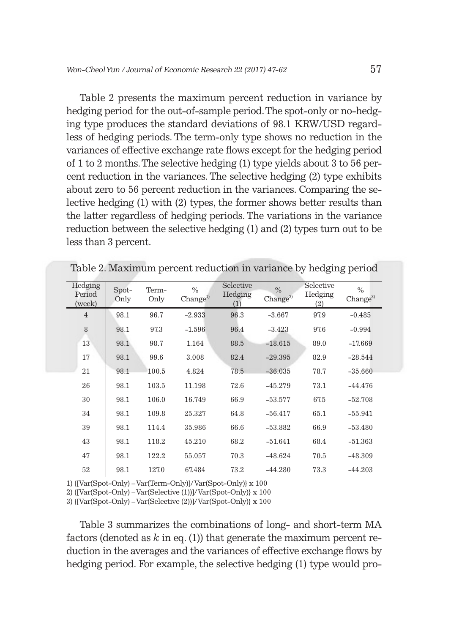Table 2 presents the maximum percent reduction in variance by hedging period for the out-of-sample period. The spot-only or no-hedging type produces the standard deviations of 98.1 KRW/USD regardless of hedging periods. The term-only type shows no reduction in the variances of effective exchange rate flows except for the hedging period of 1 to 2 months. The selective hedging (1) type yields about 3 to 56 percent reduction in the variances. The selective hedging (2) type exhibits about zero to 56 percent reduction in the variances. Comparing the selective hedging (1) with (2) types, the former shows better results than the latter regardless of hedging periods. The variations in the variance reduction between the selective hedging (1) and (2) types turn out to be less than 3 percent.

| Hedging          |               |               |                              | Selective      |                                      | Selective      |                             |
|------------------|---------------|---------------|------------------------------|----------------|--------------------------------------|----------------|-----------------------------|
| Period<br>(week) | Spot-<br>Only | Term-<br>Only | $\%$<br>Change <sup>1)</sup> | Hedging<br>(1) | $\frac{0}{0}$<br>Change <sup>2</sup> | Hedging<br>(2) | $\%$<br>Change <sup>3</sup> |
| $\overline{4}$   | 98.1          | 96.7          | $-2.933$                     | 96.3           | $-3.667$                             | 97.9           | $-0.485$                    |
| 8                | 98.1          | 97.3          | $-1.596$                     | 96.4           | $-3.423$                             | 97.6           | $-0.994$                    |
| 13               | 98.1          | 98.7          | 1.164                        | 88.5           | $-18.615$                            | 89.0           | $-17.669$                   |
| 17               | 98.1          | 99.6          | 3.008                        | 82.4           | $-29.395$                            | 82.9           | $-28.544$                   |
| 21               | 98.1          | 100.5         | 4.824                        | 78.5           | $-36.035$                            | 78.7           | $-35.660$                   |
| 26               | 98.1          | 103.5         | 11.198                       | 72.6           | $-45.279$                            | 73.1           | $-44.476$                   |
| 30               | 98.1          | 106.0         | 16.749                       | 66.9           | $-53.577$                            | 67.5           | $-52.708$                   |
| 34               | 98.1          | 109.8         | 25.327                       | 64.8           | $-56.417$                            | 65.1           | $-55.941$                   |
| 39               | 98.1          | 114.4         | 35.986                       | 66.6           | $-53.882$                            | 66.9           | $-53.480$                   |
| 43               | 98.1          | 118.2         | 45.210                       | 68.2           | $-51.641$                            | 68.4           | $-51.363$                   |
| 47               | 98.1          | 122.2         | 55.057                       | 70.3           | $-48.624$                            | 70.5           | $-48.309$                   |
| 52               | 98.1          | 127.0         | 67.484                       | 73.2           | $-44.280$                            | 73.3           | $-44.203$                   |

Table 2. Maximum percent reduction in variance by hedging period

1) {[Var(Spot-Only) – Var(Term-Only)]/ Var(Spot-Only)} x 100

2) {[Var(Spot-Only) – Var(Selective (1))]/ Var(Spot-Only)} x 100

3) {[Var(Spot-Only) – Var(Selective (2))]/ Var(Spot-Only)} x 100

Table 3 summarizes the combinations of long- and short-term MA factors (denoted as  $k$  in eq. (1)) that generate the maximum percent reduction in the averages and the variances of effective exchange flows by hedging period. For example, the selective hedging (1) type would pro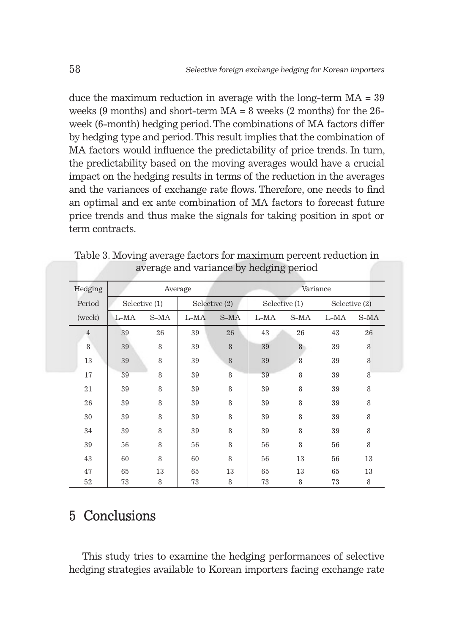duce the maximum reduction in average with the long-term MA = 39 weeks (9 months) and short-term  $MA = 8$  weeks (2 months) for the  $26$ week (6-month) hedging period. The combinations of MA factors differ by hedging type and period. This result implies that the combination of MA factors would influence the predictability of price trends. In turn, the predictability based on the moving averages would have a crucial impact on the hedging results in terms of the reduction in the averages and the variances of exchange rate flows. Therefore, one needs to find an optimal and ex ante combination of MA factors to forecast future price trends and thus make the signals for taking position in spot or term contracts.

| Hedging        |               |      | Average       |      | Variance      |      |               |      |
|----------------|---------------|------|---------------|------|---------------|------|---------------|------|
| Period         | Selective (1) |      | Selective (2) |      | Selective (1) |      | Selective (2) |      |
| (week)         | L-MA          | S-MA | $L-MA$        | S-MA | L-MA          | S-MA | $L-MA$        | S-MA |
| $\overline{4}$ | 39            | 26   | 39            | 26   | 43            | 26   | 43            | 26   |
| 8              | 39            | 8    | 39            | 8    | 39            | 8    | 39            | 8    |
| 13             | 39            | 8    | 39            | 8    | 39            | 8    | 39            | 8    |
| 17             | 39            | 8    | 39            | 8    | 39            | 8    | 39            | 8    |
| 21             | 39            | 8    | 39            | 8    | 39            | 8    | 39            | 8    |
| 26             | 39            | 8    | 39            | 8    | 39            | 8    | 39            | 8    |
| 30             | 39            | 8    | 39            | 8    | 39            | 8    | 39            | 8    |
| 34             | 39            | 8    | 39            | 8    | 39            | 8    | 39            | 8    |
| 39             | 56            | 8    | 56            | 8    | 56            | 8    | 56            | 8    |
| 43             | 60            | 8    | 60            | 8    | 56            | 13   | 56            | 13   |
| 47             | 65            | 13   | 65            | 13   | 65            | 13   | 65            | 13   |
| 52             | 73            | 8    | 73            | 8    | 73            | 8    | 73            | 8    |

Table 3. Moving average factors for maximum percent reduction in average and variance by hedging period

# 5 Conclusions

This study tries to examine the hedging performances of selective hedging strategies available to Korean importers facing exchange rate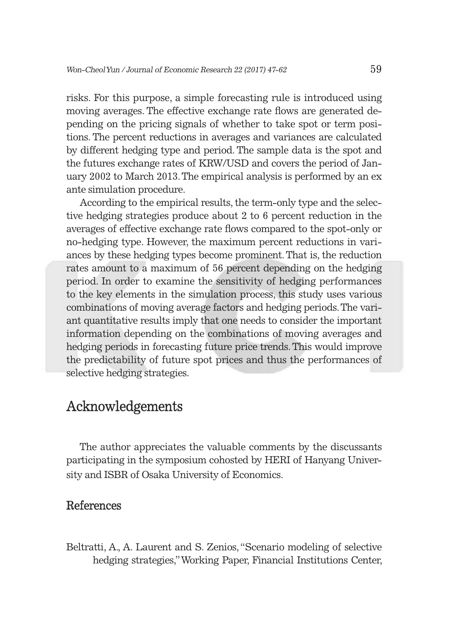risks. For this purpose, a simple forecasting rule is introduced using moving averages. The effective exchange rate flows are generated depending on the pricing signals of whether to take spot or term positions. The percent reductions in averages and variances are calculated by different hedging type and period. The sample data is the spot and the futures exchange rates of KRW/USD and covers the period of January 2002 to March 2013. The empirical analysis is performed by an ex ante simulation procedure.

According to the empirical results, the term-only type and the selective hedging strategies produce about 2 to 6 percent reduction in the averages of effective exchange rate flows compared to the spot-only or no-hedging type. However, the maximum percent reductions in variances by these hedging types become prominent. That is, the reduction rates amount to a maximum of 56 percent depending on the hedging period. In order to examine the sensitivity of hedging performances to the key elements in the simulation process, this study uses various combinations of moving average factors and hedging periods. The variant quantitative results imply that one needs to consider the important information depending on the combinations of moving averages and hedging periods in forecasting future price trends. This would improve the predictability of future spot prices and thus the performances of selective hedging strategies.

#### Acknowledgements

The author appreciates the valuable comments by the discussants participating in the symposium cohosted by HERI of Hanyang University and ISBR of Osaka University of Economics.

#### References

Beltratti, A., A. Laurent and S. Zenios, "Scenario modeling of selective hedging strategies," Working Paper, Financial Institutions Center,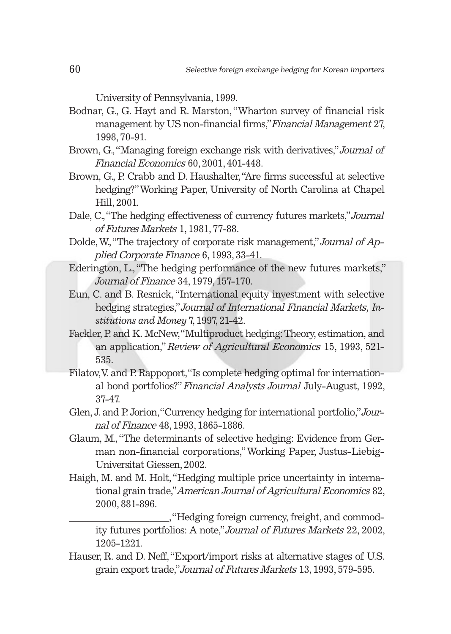University of Pennsylvania, 1999.

- Bodnar, G., G. Hayt and R. Marston, "Wharton survey of financial risk management by US non-financial firms," Financial Management 27, 1998, 70-91.
- Brown, G., "Managing foreign exchange risk with derivatives," Journal of Financial Economics 60, 2001, 401-448.
- Brown, G., P. Crabb and D. Haushalter, "Are firms successful at selective hedging?" Working Paper, University of North Carolina at Chapel Hill, 2001.
- Dale, C., "The hedging effectiveness of currency futures markets," Journal of Futures Markets 1, 1981, 77-88.
- Dolde, W., "The trajectory of corporate risk management," Journal of Applied Corporate Finance 6, 1993, 33-41.
- Ederington, L., "The hedging performance of the new futures markets," Journal of Finance 34, 1979, 157-170.
- Eun, C. and B. Resnick, "International equity investment with selective hedging strategies," Journal of International Financial Markets*, Institutions and Money* 7, 1997, 21-42.
- Fackler, P. and K. McNew, "Multiproduct hedging: Theory, estimation, and an application," Review of Agricultural Economics 15, 1993, 521- 535.
- Filatov, V. and P. Rappoport, "Is complete hedging optimal for international bond portfolios?" Financial Analysts Journal July-August, 1992, 37-47.
- Glen, J. and P. Jorion, "Currency hedging for international portfolio," Journal of Finance 48, 1993, 1865-1886.
- Glaum, M., "The determinants of selective hedging: Evidence from German non-financial corporations," Working Paper, Justus-Liebig-Universitat Giessen, 2002.
- Haigh, M. and M. Holt, "Hedging multiple price uncertainty in international grain trade," American Journal of Agricultural Economics 82, 2000, 881-896.

\_\_\_\_\_\_\_\_\_\_\_\_\_\_\_\_\_\_\_\_\_\_, "Hedging foreign currency, freight, and commodity futures portfolios: A note," Journal of Futures Markets 22, 2002, 1205-1221.

Hauser, R. and D. Neff, "Export/import risks at alternative stages of U.S. grain export trade," Journal of Futures Markets 13, 1993, 579-595.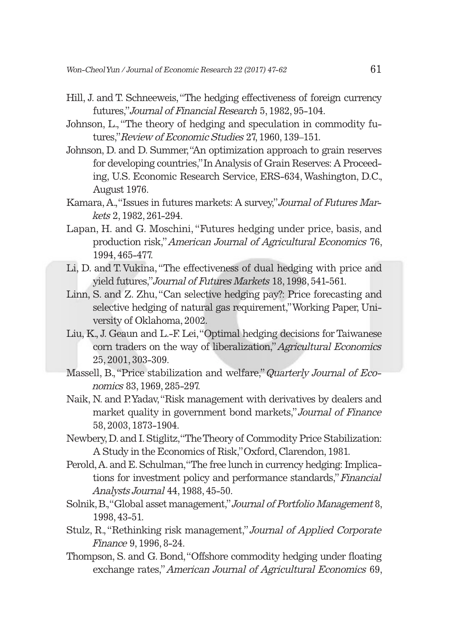- Hill, J. and T. Schneeweis, "The hedging effectiveness of foreign currency futures," Journal of Financial Research 5, 1982, 95-104.
- Johnson, L., "The theory of hedging and speculation in commodity futures," Review of Economic Studies 27, 1960, 139–151.
- Johnson, D. and D. Summer, "An optimization approach to grain reserves for developing countries," In Analysis of Grain Reserves: A Proceeding, U.S. Economic Research Service, ERS-634, Washington, D.C., August 1976.
- Kamara, A., "Issues in futures markets: A survey," Journal of Futures Markets 2, 1982, 261-294.
- Lapan, H. and G. Moschini, "Futures hedging under price, basis, and production risk," American Journal of Agricultural Economics 76, 1994, 465-477.
- Li, D. and T. Vukina, "The effectiveness of dual hedging with price and yield futures," Journal of Futures Markets 18, 1998, 541-561.
- Linn, S. and Z. Zhu, "Can selective hedging pay?: Price forecasting and selective hedging of natural gas requirement," Working Paper, University of Oklahoma, 2002.
- Liu, K., J. Geaun and L.-F. Lei, "Optimal hedging decisions for Taiwanese corn traders on the way of liberalization," Agricultural Economics 25, 2001, 303-309.
- Massell, B., "Price stabilization and welfare," Quarterly Journal of Economics 83, 1969, 285-297.
- Naik, N. and P. Yadav, "Risk management with derivatives by dealers and market quality in government bond markets," Journal of Finance 58, 2003, 1873-1904.
- Newbery, D. and I. Stiglitz, "The Theory of Commodity Price Stabilization: A Study in the Economics of Risk," Oxford, Clarendon, 1981.
- Perold, A. and E. Schulman, "The free lunch in currency hedging: Implications for investment policy and performance standards," Financial Analysts Journal 44, 1988, 45-50.
- Solnik, B., "Global asset management," Journal of Portfolio Management 8, 1998, 43-51.
- Stulz, R., "Rethinking risk management," Journal of Applied Corporate Finance 9, 1996, 8-24.
- Thompson, S. and G. Bond, "Offshore commodity hedging under floating exchange rates," American Journal of Agricultural Economics 69,